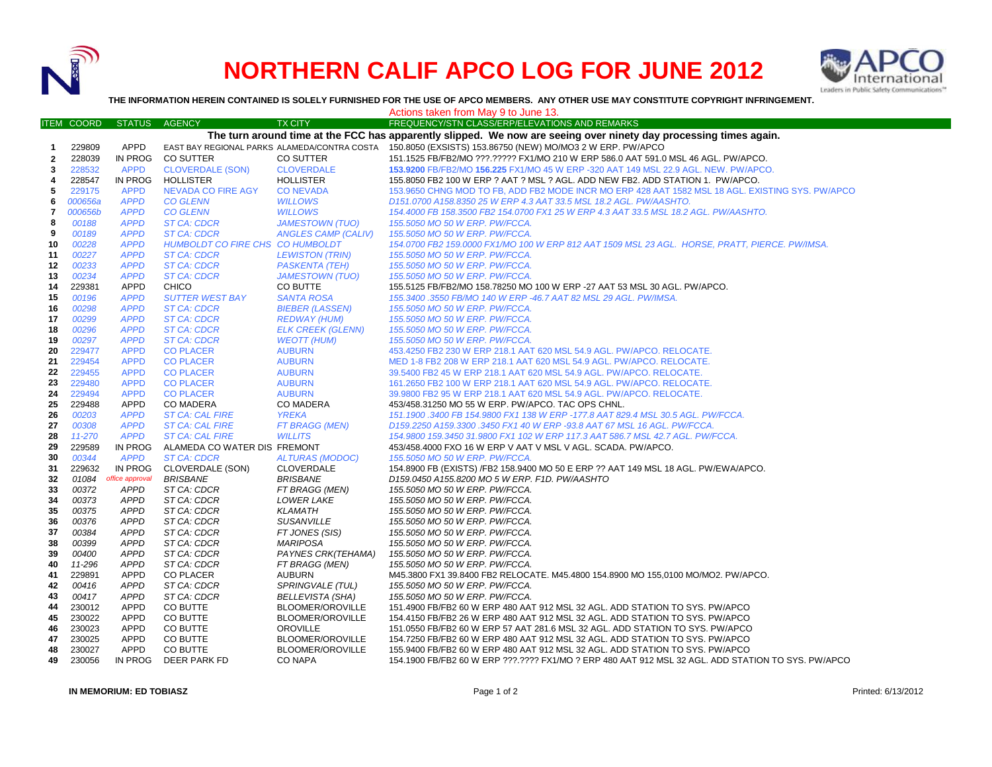

## **NORTHERN CALIF APCO LOG FOR JUNE 2012**



**THE INFORMATION HEREIN CONTAINED IS SOLELY FURNISHED FOR THE USE OF APCO MEMBERS. ANY OTHER USE MAY CONSTITUTE COPYRIGHT INFRINGEMENT.**

Actions taken from May 9 to June 13.

|              | <b>ITEM COORD</b>                                                                                                 | <b>STATUS</b>   | <b>AGENCY</b>                    | <b>TX CITY</b>           | FREQUENCY/STN CLASS/ERP/ELEVATIONS AND REMARKS                                                          |  |
|--------------|-------------------------------------------------------------------------------------------------------------------|-----------------|----------------------------------|--------------------------|---------------------------------------------------------------------------------------------------------|--|
|              | The turn around time at the FCC has apparently slipped. We now are seeing over ninety day processing times again. |                 |                                  |                          |                                                                                                         |  |
| $\mathbf{1}$ | 229809                                                                                                            | APPD            |                                  |                          | EAST BAY REGIONAL PARKS ALAMEDA/CONTRA COSTA 150.8050 (EXSISTS) 153.86750 (NEW) MO/MO3 2 W ERP. PW/APCO |  |
| $\mathbf{2}$ | 228039                                                                                                            | IN PROG         | <b>CO SUTTER</b>                 | CO SUTTER                | 151.1525 FB/FB2/MO ???.????? FX1/MO 210 W ERP 586.0 AAT 591.0 MSL 46 AGL. PW/APCO.                      |  |
| 3            | 228532                                                                                                            | <b>APPD</b>     | <b>CLOVERDALE (SON)</b>          | <b>CLOVERDALE</b>        | 153,9200 FB/FB2/MO 156,225 FX1/MO 45 W ERP -320 AAT 149 MSL 22.9 AGL. NEW. PW/APCO.                     |  |
| 4            | 228547                                                                                                            | IN PROG         | HOLLISTER                        | <b>HOLLISTER</b>         | 155.8050 FB2 100 W ERP ? AAT ? MSL ? AGL. ADD NEW FB2. ADD STATION 1. PW/APCO.                          |  |
| 5            | 229175                                                                                                            | <b>APPD</b>     | <b>NEVADA CO FIRE AGY</b>        | <b>CONEVADA</b>          | 153.9650 CHNG MOD TO FB, ADD FB2 MODE INCR MO ERP 428 AAT 1582 MSL 18 AGL. EXISTING SYS. PW/APCO        |  |
| 6            | 000656a                                                                                                           | <b>APPD</b>     | <b>CO GLENN</b>                  | <b>WILLOWS</b>           | D151.0700 A158.8350 25 W ERP 4.3 AAT 33.5 MSL 18.2 AGL. PW/AASHTO.                                      |  |
| 7            | 000656b                                                                                                           | <b>APPD</b>     | <b>CO GLENN</b>                  | <b>WILLOWS</b>           | 154.4000 FB 158.3500 FB2 154.0700 FX1 25 W ERP 4.3 AAT 33.5 MSL 18.2 AGL. PW/AASHTO.                    |  |
| 8            | 00188                                                                                                             | <b>APPD</b>     | <b>ST CA: CDCR</b>               | <b>JAMESTOWN (TUO)</b>   | 155.5050 MO 50 W ERP. PW/FCCA.                                                                          |  |
| 9            | 00189                                                                                                             | <b>APPD</b>     | <b>ST CA: CDCR</b>               | ANGLES CAMP (CALIV)      | 155.5050 MO 50 W ERP. PW/FCCA.                                                                          |  |
| 10           | 00228                                                                                                             | <b>APPD</b>     | HUMBOLDT CO FIRE CHS CO HUMBOLDT |                          | 154.0700 FB2 159.0000 FX1/MO 100 W ERP 812 AAT 1509 MSL 23 AGL. HORSE, PRATT, PIERCE. PW/IMSA.          |  |
| 11           | 00227                                                                                                             | <b>APPD</b>     | <b>ST CA: CDCR</b>               | <b>LEWISTON (TRIN)</b>   | 155.5050 MO 50 W ERP. PW/FCCA.                                                                          |  |
| 12           | 00233                                                                                                             | <b>APPD</b>     | <b>ST CA: CDCR</b>               | <b>PASKENTA (TEH)</b>    | 155.5050 MO 50 W ERP. PW/FCCA.                                                                          |  |
| 13           | 00234                                                                                                             | <b>APPD</b>     | <b>ST CA: CDCR</b>               | <b>JAMESTOWN (TUO)</b>   | 155.5050 MO 50 W ERP. PW/FCCA.                                                                          |  |
|              | 229381                                                                                                            | APPD            | <b>CHICO</b>                     | CO BUTTE                 |                                                                                                         |  |
| 14<br>15     |                                                                                                                   |                 |                                  |                          | 155.5125 FB/FB2/MO 158.78250 MO 100 W ERP -27 AAT 53 MSL 30 AGL. PW/APCO.                               |  |
|              | 00196                                                                                                             | <b>APPD</b>     | <b>SUTTER WEST BAY</b>           | <b>SANTA ROSA</b>        | 155.3400 .3550 FB/MO 140 W ERP -46.7 AAT 82 MSL 29 AGL. PW/IMSA.                                        |  |
| 16           | 00298                                                                                                             | <b>APPD</b>     | ST CA: CDCR                      | <b>BIEBER (LASSEN)</b>   | 155.5050 MO 50 W ERP. PW/FCCA.                                                                          |  |
| 17           | 00299                                                                                                             | <b>APPD</b>     | <b>ST CA: CDCR</b>               | <b>REDWAY (HUM)</b>      | 155.5050 MO 50 W ERP. PW/FCCA.                                                                          |  |
| 18           | 00296                                                                                                             | <b>APPD</b>     | <b>ST CA: CDCR</b>               | <b>ELK CREEK (GLENN)</b> | 155.5050 MO 50 W ERP. PW/FCCA.                                                                          |  |
| 19           | 00297                                                                                                             | <b>APPD</b>     | <b>ST CA: CDCR</b>               | <b>WEOTT (HUM)</b>       | 155.5050 MO 50 W ERP. PW/FCCA.                                                                          |  |
| 20           | 229477                                                                                                            | <b>APPD</b>     | <b>CO PLACER</b>                 | <b>AUBURN</b>            | 453.4250 FB2 230 W ERP 218.1 AAT 620 MSL 54.9 AGL. PW/APCO. RELOCATE.                                   |  |
| 21           | 229454                                                                                                            | <b>APPD</b>     | <b>CO PLACER</b>                 | <b>AUBURN</b>            | MED 1-8 FB2 208 W ERP 218.1 AAT 620 MSL 54.9 AGL. PW/APCO, RELOCATE.                                    |  |
| 22           | 229455                                                                                                            | <b>APPD</b>     | <b>CO PLACER</b>                 | <b>AUBURN</b>            | 39.5400 FB2 45 W ERP 218.1 AAT 620 MSL 54.9 AGL. PW/APCO. RELOCATE.                                     |  |
| 23           | 229480                                                                                                            | <b>APPD</b>     | <b>CO PLACER</b>                 | <b>AUBURN</b>            | 161.2650 FB2 100 W ERP 218.1 AAT 620 MSL 54.9 AGL. PW/APCO. RELOCATE.                                   |  |
| 24           | 229494                                                                                                            | <b>APPD</b>     | <b>CO PLACER</b>                 | <b>AUBURN</b>            | 39.9800 FB2 95 W ERP 218.1 AAT 620 MSL 54.9 AGL. PW/APCO. RELOCATE.                                     |  |
| 25           | 229488                                                                                                            | APPD            | <b>CO MADERA</b>                 | CO MADERA                | 453/458.31250 MO 55 W ERP. PW/APCO. TAC OPS CHNL.                                                       |  |
| 26           | 00203                                                                                                             | <b>APPD</b>     | <b>ST CA: CAL FIRE</b>           | <b>YREKA</b>             | 151.1900 .3400 FB 154.9800 FX1 138 W ERP -177.8 AAT 829.4 MSL 30.5 AGL. PW/FCCA.                        |  |
| 27           | 00308                                                                                                             | <b>APPD</b>     | <b>ST CA: CAL FIRE</b>           | FT BRAGG (MEN)           | D159.2250 A159.3300 .3450 FX1 40 W ERP -93.8 AAT 67 MSL 16 AGL. PW/FCCA.                                |  |
| 28           | 11-270                                                                                                            | <b>APPD</b>     | <b>ST CA: CAL FIRE</b>           | <b>WILLITS</b>           | 154.9800 159.3450 31.9800 FX1 102 W ERP 117.3 AAT 586.7 MSL 42.7 AGL. PW/FCCA.                          |  |
| 29           | 229589                                                                                                            | IN PROG         | ALAMEDA CO WATER DIS FREMONT     |                          | 453/458.4000 FXO 16 W ERP V AAT V MSL V AGL. SCADA. PW/APCO.                                            |  |
| 30           | 00344                                                                                                             | <b>APPD</b>     | <b>ST CA: CDCR</b>               | <b>ALTURAS (MODOC)</b>   | 155.5050 MO 50 W ERP. PW/FCCA.                                                                          |  |
| 31           | 229632                                                                                                            | IN PROG         | CLOVERDALE (SON)                 | CLOVERDALE               | 154.8900 FB (EXISTS) /FB2 158.9400 MO 50 E ERP ?? AAT 149 MSL 18 AGL. PW/EWA/APCO.                      |  |
| 32           | 01084                                                                                                             | office approval | <b>BRISBANE</b>                  | <b>BRISBANE</b>          | D159.0450 A155.8200 MO 5 W ERP. F1D. PW/AASHTO                                                          |  |
| 33           | 00372                                                                                                             | APPD            | ST CA: CDCR                      | FT BRAGG (MEN)           | 155.5050 MO 50 W ERP. PW/FCCA.                                                                          |  |
| 34           | 00373                                                                                                             | <b>APPD</b>     | ST CA: CDCR                      | <b>LOWER LAKE</b>        | 155.5050 MO 50 W ERP. PW/FCCA.                                                                          |  |
| 35           | 00375                                                                                                             | <b>APPD</b>     | ST CA: CDCR                      | <b>KLAMATH</b>           | 155.5050 MO 50 W ERP. PW/FCCA.                                                                          |  |
| 36           | 00376                                                                                                             | <b>APPD</b>     | ST CA: CDCR                      | <b>SUSANVILLE</b>        | 155.5050 MO 50 W ERP. PW/FCCA.                                                                          |  |
| 37           | 00384                                                                                                             | APPD            | ST CA: CDCR                      | FT JONES (SIS)           | 155.5050 MO 50 W ERP. PW/FCCA.                                                                          |  |
| 38           | 00399                                                                                                             | <b>APPD</b>     | ST CA: CDCR                      | <b>MARIPOSA</b>          | 155.5050 MO 50 W ERP. PW/FCCA.                                                                          |  |
| 39           | 00400                                                                                                             | <b>APPD</b>     | ST CA: CDCR                      | PAYNES CRK(TEHAMA)       | 155.5050 MO 50 W ERP. PW/FCCA.                                                                          |  |
| 40           | 11-296                                                                                                            | <b>APPD</b>     | ST CA: CDCR                      | FT BRAGG (MEN)           | 155.5050 MO 50 W ERP. PW/FCCA.                                                                          |  |
| 41           | 229891                                                                                                            | <b>APPD</b>     | <b>CO PLACER</b>                 | <b>AUBURN</b>            | M45.3800 FX1 39.8400 FB2 RELOCATE. M45.4800 154.8900 MO 155,0100 MO/MO2. PW/APCO.                       |  |
| 42           | 00416                                                                                                             | <b>APPD</b>     | ST CA: CDCR                      | SPRINGVALE (TUL)         | 155.5050 MO 50 W ERP. PW/FCCA.                                                                          |  |
| 43           | 00417                                                                                                             | <b>APPD</b>     | ST CA: CDCR                      | <b>BELLEVISTA (SHA)</b>  | 155.5050 MO 50 W ERP. PW/FCCA.                                                                          |  |
| 44           | 230012                                                                                                            | APPD            | CO BUTTE                         | BLOOMER/OROVILLE         | 151.4900 FB/FB2 60 W ERP 480 AAT 912 MSL 32 AGL. ADD STATION TO SYS. PW/APCO                            |  |
| 45           | 230022                                                                                                            | APPD            | CO BUTTE                         | BLOOMER/OROVILLE         | 154.4150 FB/FB2 26 W ERP 480 AAT 912 MSL 32 AGL. ADD STATION TO SYS. PW/APCO                            |  |
| 46           | 230023                                                                                                            | APPD            | CO BUTTE                         | <b>OROVILLE</b>          | 151.0550 FB/FB2 60 W ERP 57 AAT 281.6 MSL 32 AGL. ADD STATION TO SYS. PW/APCO                           |  |
| 47           | 230025                                                                                                            | APPD            | CO BUTTE                         | BLOOMER/OROVILLE         | 154.7250 FB/FB2 60 W ERP 480 AAT 912 MSL 32 AGL. ADD STATION TO SYS. PW/APCO                            |  |
| 48           | 230027                                                                                                            | APPD            | CO BUTTE                         | BLOOMER/OROVILLE         | 155.9400 FB/FB2 60 W ERP 480 AAT 912 MSL 32 AGL. ADD STATION TO SYS. PW/APCO                            |  |
| 49           | 230056                                                                                                            | IN PROG         | DEER PARK FD                     | CO NAPA                  | 154.1900 FB/FB2 60 W ERP ???.???? FX1/MO ? ERP 480 AAT 912 MSL 32 AGL. ADD STATION TO SYS. PW/APCO      |  |

**IN MEMORIUM: ED TOBIASZ** Printed: 6/13/2012